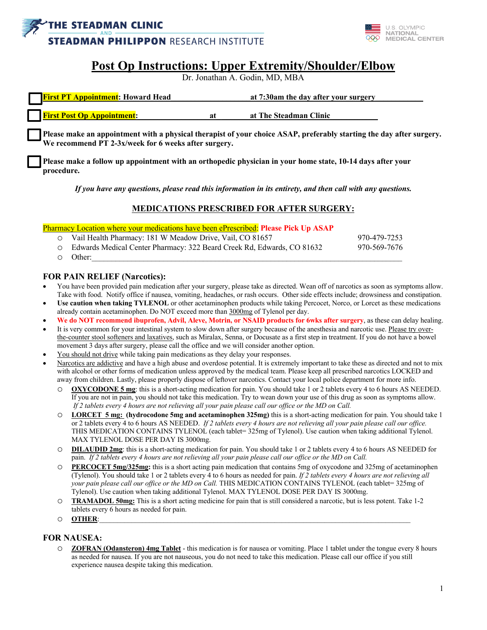



# **Post Op Instructions: Upper Extremity/Shoulder/Elbow**

Dr. Jonathan A. Godin, MD, MBA

| <b>First PT Appointment: Howard Head</b> |     | at 7:30am the day after your surgery |  |
|------------------------------------------|-----|--------------------------------------|--|
| <b>First Post Op Appointment:</b>        | 'at | at The Steadman Clinic               |  |

**Please make an appointment with a physical therapist of your choice ASAP, preferably starting the day after surgery. We recommend PT 2-3x/week for 6 weeks after surgery.**

**Please make a follow up appointment with an orthopedic physician in your home state, 10-14 days after your procedure.**

*If you have any questions, please read this information in its entirety, and then call with any questions.*

### **MEDICATIONS PRESCRIBED FOR AFTER SURGERY:**

Pharmacy Location where your medications have been ePrescribed: **Please Pick Up ASAP**

| O Vail Health Pharmacy: 181 W Meadow Drive, Vail, CO 81657               | 970-479-7253 |
|--------------------------------------------------------------------------|--------------|
| ○ Edwards Medical Center Pharmacy: 322 Beard Creek Rd, Edwards, CO 81632 | 970-569-7676 |
| $\circ$ Other:                                                           |              |

#### **FOR PAIN RELIEF (Narcotics):**

- You have been provided pain medication after your surgery, please take as directed. Wean off of narcotics as soon as symptoms allow. Take with food. Notify office if nausea, vomiting, headaches, or rash occurs. Other side effects include; drowsiness and constipation.
- **Use caution when taking TYLENOL** or other acetaminophen products while taking Percocet, Norco, or Lorcet as these medications already contain acetaminophen. Do NOT exceed more than 3000mg of Tylenol per day.
- **We do NOT recommend ibuprofen, Advil, Aleve, Motrin, or NSAID products for 6wks after surgery**, as these can delay healing.
- It is very common for your intestinal system to slow down after surgery because of the anesthesia and narcotic use. Please try overthe-counter stool softeners and laxatives, such as Miralax, Senna, or Docusate as a first step in treatment. If you do not have a bowel movement 3 days after surgery, please call the office and we will consider another option.
- You should not drive while taking pain medications as they delay your responses.
- Narcotics are addictive and have a high abuse and overdose potential. It is extremely important to take these as directed and not to mix with alcohol or other forms of medication unless approved by the medical team. Please keep all prescribed narcotics LOCKED and away from children. Lastly, please properly dispose of leftover narcotics. Contact your local police department for more info.
	- o **OXYCODONE 5 mg**: this is a short-acting medication for pain. You should take 1 or 2 tablets every 4 to 6 hours AS NEEDED. If you are not in pain, you should not take this medication. Try to wean down your use of this drug as soon as symptoms allow. *If 2 tablets every 4 hours are not relieving all your pain please call our office or the MD on Call.*
	- o **LORCET 5 mg: (hydrocodone 5mg and acetaminophen 325mg)** this is a short-acting medication for pain. You should take 1 or 2 tablets every 4 to 6 hours AS NEEDED. *If 2 tablets every 4 hours are not relieving all your pain please call our office.*  THIS MEDICATION CONTAINS TYLENOL (each tablet= 325mg of Tylenol). Use caution when taking additional Tylenol. MAX TYLENOL DOSE PER DAY IS 3000mg.
	- o **DILAUDID 2mg**: this is a short-acting medication for pain. You should take 1 or 2 tablets every 4 to 6 hours AS NEEDED for pain. *If 2 tablets every 4 hours are not relieving all your pain please call our office or the MD on Call.*
	- o **PERCOCET 5mg/325mg:** this is a short acting pain medication that contains 5mg of oxycodone and 325mg of acetaminophen (Tylenol). You should take 1 or 2 tablets every 4 to 6 hours as needed for pain. *If 2 tablets every 4 hours are not relieving all your pain please call our office or the MD on Call.* THIS MEDICATION CONTAINS TYLENOL (each tablet= 325mg of Tylenol). Use caution when taking additional Tylenol. MAX TYLENOL DOSE PER DAY IS 3000mg.
	- o **TRAMADOL 50mg:** This is a short acting medicine for pain that is still considered a narcotic, but is less potent. Take 1-2 tablets every 6 hours as needed for pain.
	- o **OTHER**:\_\_\_\_\_\_\_\_\_\_\_\_\_\_\_\_\_\_\_\_\_\_\_\_\_\_\_\_\_\_\_\_\_\_\_\_\_\_\_\_\_\_\_\_\_\_\_\_\_\_\_\_\_\_\_\_\_\_\_\_\_\_\_\_\_\_\_\_\_\_\_\_\_\_\_\_\_\_\_\_\_\_\_\_\_\_\_

### **FOR NAUSEA:**

o **ZOFRAN (Odansteron) 4mg Tablet** - this medication is for nausea or vomiting. Place 1 tablet under the tongue every 8 hours as needed for nausea. If you are not nauseous, you do not need to take this medication. Please call our office if you still experience nausea despite taking this medication.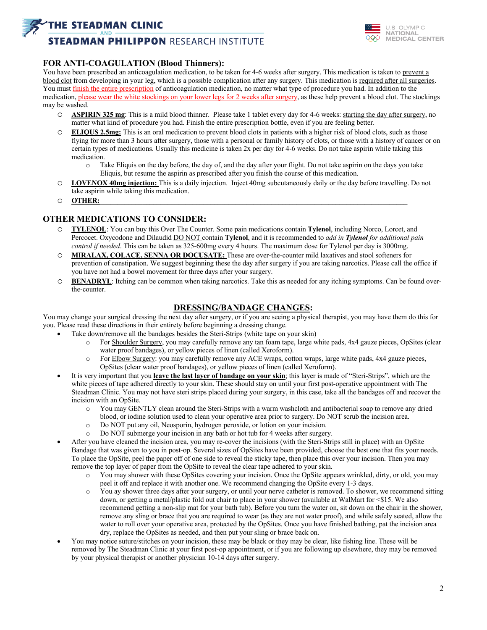## **THE STEADMAN CLINIC**

# **STEADMAN PHILIPPON RESEARCH INSTITUTE**



### **FOR ANTI-COAGULATION (Blood Thinners):**

You have been prescribed an anticoagulation medication, to be taken for 4-6 weeks after surgery. This medication is taken to prevent a blood clot from developing in your leg, which is a possible complication after any surgery. This medication is required after all surgeries. You must finish the entire prescription of anticoagulation medication, no matter what type of procedure you had. In addition to the medication, please wear the white stockings on your lower legs for 2 weeks after surgery, as these help prevent a blood clot. The stockings may be washed.

- o **ASPIRIN 325 mg**: This is a mild blood thinner. Please take 1 tablet every day for 4-6 weeks: starting the day after surgery, no matter what kind of procedure you had. Finish the entire prescription bottle, even if you are feeling better.
- **ELIQUS 2.5mg:** This is an oral medication to prevent blood clots in patients with a higher risk of blood clots, such as those flying for more than 3 hours after surgery, those with a personal or family history of clots, or those with a history of cancer or on certain types of medications. Usually this medicine is taken 2x per day for 4-6 weeks. Do not take aspirin while taking this medication.
	- o Take Eliquis on the day before, the day of, and the day after your flight. Do not take aspirin on the days you take Eliquis, but resume the aspirin as prescribed after you finish the course of this medication.
- o **LOVENOX 40mg injection:** This is a daily injection. Inject 40mg subcutaneously daily or the day before travelling. Do not take aspirin while taking this medication.
- o **OTHER:**\_\_\_\_\_\_\_\_\_\_\_\_\_\_\_\_\_\_\_\_\_\_\_\_\_\_\_\_\_\_\_\_\_\_\_\_\_\_\_\_\_\_\_\_\_\_\_\_\_\_\_\_\_\_\_\_\_\_\_\_\_\_\_\_\_\_\_\_\_\_\_\_\_\_\_\_\_\_\_\_\_\_\_\_\_\_

### **OTHER MEDICATIONS TO CONSIDER:**

- o **TYLENOL**: You can buy this Over The Counter. Some pain medications contain **Tylenol**, including Norco, Lorcet, and Percocet. Oxycodone and Dilaudid DO NOT contain **Tylenol**, and it is recommended to *add in Tylenol for additional pain control if needed*. This can be taken as 325-600mg every 4 hours. The maximum dose for Tylenol per day is 3000mg.
- o **MIRALAX, COLACE, SENNA OR DOCUSATE:** These are over-the-counter mild laxatives and stool softeners for prevention of constipation. We suggest beginning these the day after surgery if you are taking narcotics. Please call the office if you have not had a bowel movement for three days after your surgery.
- o **BENADRYL**: Itching can be common when taking narcotics. Take this as needed for any itching symptoms. Can be found overthe-counter.

### **DRESSING/BANDAGE CHANGES:**

You may change your surgical dressing the next day after surgery, or if you are seeing a physical therapist, you may have them do this for you. Please read these directions in their entirety before beginning a dressing change.

- Take down/remove all the bandages besides the Steri-Strips (white tape on your skin)
	- o For Shoulder Surgery, you may carefully remove any tan foam tape, large white pads, 4x4 gauze pieces, OpSites (clear water proof bandages), or yellow pieces of linen (called Xeroform).
	- o For Elbow Surgery: you may carefully remove any ACE wraps, cotton wraps, large white pads, 4x4 gauze pieces, OpSites (clear water proof bandages), or yellow pieces of linen (called Xeroform).
- It is very important that you **leave the last layer of bandage on your skin**; this layer is made of "Steri-Strips", which are the white pieces of tape adhered directly to your skin. These should stay on until your first post-operative appointment with The Steadman Clinic. You may not have steri strips placed during your surgery, in this case, take all the bandages off and recover the incision with an OpSite.
	- o You may GENTLY clean around the Steri-Strips with a warm washcloth and antibacterial soap to remove any dried blood, or iodine solution used to clean your operative area prior to surgery. Do NOT scrub the incision area.
	- o Do NOT put any oil, Neosporin, hydrogen peroxide, or lotion on your incision.
	- o Do NOT submerge your incision in any bath or hot tub for 4 weeks after surgery.
- After you have cleaned the incision area, you may re-cover the incisions (with the Steri-Strips still in place) with an OpSite Bandage that was given to you in post-op. Several sizes of OpSites have been provided, choose the best one that fits your needs. To place the OpSite, peel the paper off of one side to reveal the sticky tape, then place this over your incision. Then you may remove the top layer of paper from the OpSite to reveal the clear tape adhered to your skin.
	- o You may shower with these OpSites covering your incision. Once the OpSite appears wrinkled, dirty, or old, you may peel it off and replace it with another one. We recommend changing the OpSite every 1-3 days.
	- o You ay shower three days after your surgery, or until your nerve catheter is removed. To shower, we recommend sitting down, or getting a metal/plastic fold out chair to place in your shower (available at WalMart for <\$15. We also recommend getting a non-slip mat for your bath tub). Before you turn the water on, sit down on the chair in the shower, remove any sling or brace that you are required to wear (as they are not water proof), and while safely seated, allow the water to roll over your operative area, protected by the OpSites. Once you have finished bathing, pat the incision area dry, replace the OpSites as needed, and then put your sling or brace back on.
- You may notice suture/stitches on your incision, these may be black or they may be clear, like fishing line. These will be removed by The Steadman Clinic at your first post-op appointment, or if you are following up elsewhere, they may be removed by your physical therapist or another physician 10-14 days after surgery.